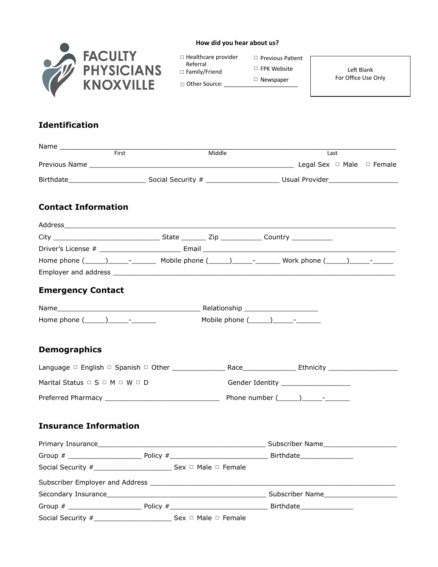

#### **How did you hear about us?**

- □ Healthcare provider
	- □ Previous Patient
- □ Family/Friend

Referral

- □ FPK Website
- □ Newspaper □Other Source: \_\_\_\_\_\_\_\_\_\_\_\_\_\_\_\_\_\_\_\_\_\_\_

Left Blank For Office Use Only

## **Identification**

| Name             |       |                   |        |                |      |                                     |
|------------------|-------|-------------------|--------|----------------|------|-------------------------------------|
|                  | First |                   | Middle |                | Last |                                     |
| Previous Name    |       |                   |        |                |      | Legal Sex $\Box$ Male $\Box$ Female |
| <b>Birthdate</b> |       | Social Security # |        | Usual Provider |      |                                     |

## **Contact Information**

| Address                      |                                                             |  |
|------------------------------|-------------------------------------------------------------|--|
|                              | State _________ Zip ___________<br>Country _____________    |  |
| Driver's License #           | Email                                                       |  |
| Home phone $(\_\_\_\_\_\_\_$ | Mobile phone $(\_\_\_\_\_\_$ - Work phone $(\_\_\_\_\_\_$ - |  |
| Employer and address         |                                                             |  |

### **Emergency Contact**

| Name         | Relationship             |
|--------------|--------------------------|
| Home phone ( | Mobile phone (           |
| -            | $\overline{\phantom{0}}$ |

## **Demographics**

| Language $\Box$ English $\Box$ Spanish $\Box$ Other | Race            | Ethnicity |
|-----------------------------------------------------|-----------------|-----------|
| Marital Status $\Box$ S $\Box$ M $\Box$ W $\Box$ D  | Gender Identity |           |
| Preferred Pharmacy                                  | Phone number (  |           |

## **Insurance Information**

|                     | Subscriber Name           |  |
|---------------------|---------------------------|--|
|                     | Birthdate________________ |  |
|                     |                           |  |
|                     |                           |  |
|                     | Subscriber Name           |  |
|                     | Birthdate_____________    |  |
| Sex ⊡ Male ⊡ Female |                           |  |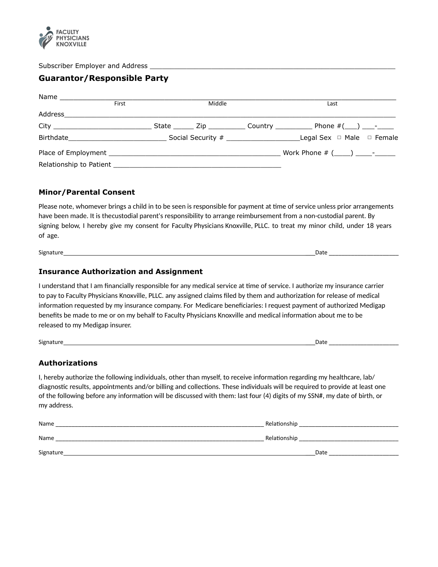

Subscriber Employer and Address \_

### **Guarantor/Responsible Party**

|                                                      | First | Middle | Last                                                         |  |
|------------------------------------------------------|-------|--------|--------------------------------------------------------------|--|
| Address                                              |       |        |                                                              |  |
|                                                      |       |        | State $\_\_$ Zip $\_\_$ Country $\_\_$ Phone $\#(\_\_) \_\_$ |  |
| Birthdate <b>Social Security #</b> Social Security # |       |        | Legal Sex $\Box$ Male $\Box$ Female                          |  |
|                                                      |       |        |                                                              |  |
|                                                      |       |        |                                                              |  |

### **Minor/Parental Consent**

Please note, whomever brings a child in to be seen is responsible for payment at time of service unless prior arrangements have been made. It is thecustodial parent's responsibility to arrange reimbursement from a non-custodial parent. By signing below, I hereby give my consent for Faculty Physicians Knoxville, PLLC. to treat my minor child, under 18 years of age.

Signature \_\_\_Date \_\_\_\_\_\_\_\_\_\_\_\_\_\_\_\_\_\_\_\_\_\_

#### **Insurance Authorization and Assignment**

I understand that I am financially responsible for any medical service at time of service. I authorize my insurance carrier to pay to Faculty Physicians Knoxville, PLLC. any assigned claims filed by them and authorization for release of medical information requested by my insurance company. For Medicare beneficiaries: I request payment of authorized Medigap benefits be made to me or on my behalf to Faculty Physicians Knoxville and medical information about me to be released to my Medigap insurer.

Signature \_\_\_Date \_\_\_\_\_\_\_\_\_\_\_\_\_\_\_\_\_\_\_\_\_\_

#### **Authorizations**

I, hereby authorize the following individuals, other than myself, to receive information regarding my healthcare, lab/ diagnostic results, appointments and/or billing and collections. These individuals will be required to provide at least one of the following before any information will be discussed with them: last four (4) digits of my SSN#, my date of birth, or my address.

| Name       | Relationship |
|------------|--------------|
| Name       | Relationship |
| Signature_ | Date         |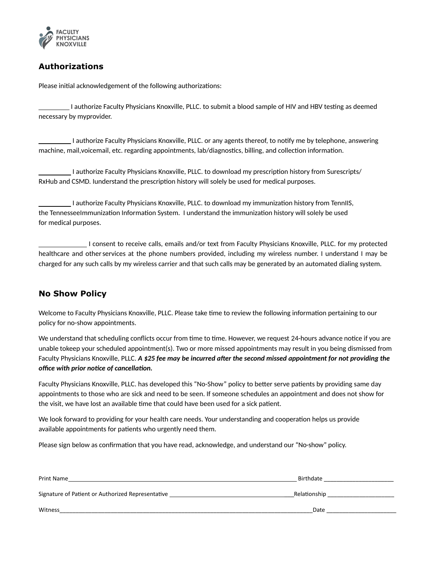

# **Authorizations**

Please initial acknowledgement of the following authorizations:

I authorize Faculty Physicians Knoxville, PLLC. to submit a blood sample of HIV and HBV testing as deemed necessary by myprovider.

I authorize Faculty Physicians Knoxville, PLLC. or any agents thereof, to notify me by telephone, answering machine, mail,voicemail, etc. regarding appointments, lab/diagnostics, billing, and collection information.

 I authorize Faculty Physicians Knoxville, PLLC. to download my prescription history from Surescripts/ RxHub and CSMD. Iunderstand the prescription history will solely be used for medical purposes.

 I authorize Faculty Physicians Knoxville, PLLC. to download my immunization history from TennIIS, the TennesseeImmunization Information System. I understand the immunization history will solely be used for medical purposes.

I consent to receive calls, emails and/or text from Faculty Physicians Knoxville, PLLC. for my protected healthcare and otherservices at the phone numbers provided, including my wireless number. I understand I may be charged for any such calls by my wireless carrier and that such calls may be generated by an automated dialing system.

## **No Show Policy**

Welcome to Faculty Physicians Knoxville, PLLC. Please take time to review the following information pertaining to our policy for no-show appointments.

We understand that scheduling conflicts occur from time to time. However, we request 24-hours advance notice if you are unable tokeep your scheduled appointment(s). Two or more missed appointments may result in you being dismissed from Faculty Physicians Knoxville, PLLC. *A \$25 fee may be incurred after the second missed appointment for not providing the office with prior notice of cancellation.*

Faculty Physicians Knoxville, PLLC. has developed this "No-Show" policy to better serve patients by providing same day appointments to those who are sick and need to be seen. If someone schedules an appointment and does not show for the visit, we have lost an available time that could have been used for a sick patient.

We look forward to providing for your health care needs. Your understanding and cooperation helps us provide available appointments for patients who urgently need them.

Please sign below as confirmation that you have read, acknowledge, and understand our "No-show" policy.

| Print Name                                        | Birthdate    |
|---------------------------------------------------|--------------|
| Signature of Patient or Authorized Representative | Relationship |
| Witness                                           | Date         |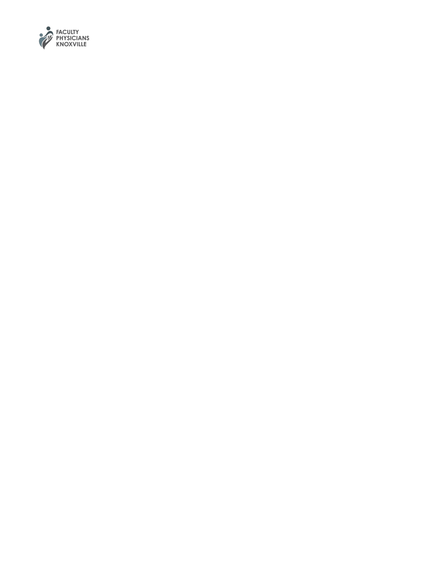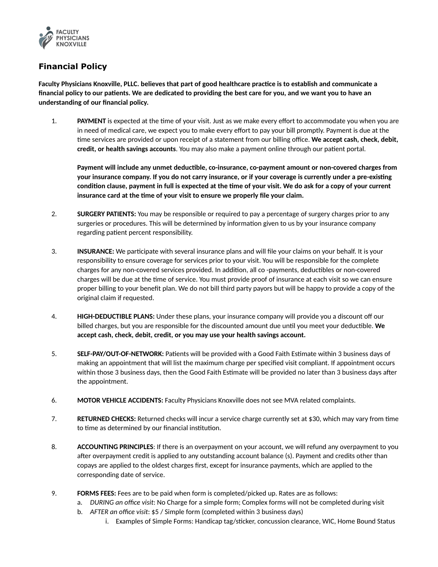

# **Financial Policy**

**Faculty Physicians Knoxville, PLLC. believes that part of good healthcare practice is to establish and communicate a financial policy to our patients. We are dedicated to providing the best care for you, and we want you to have an understanding of our financial policy.**

1. **PAYMENT** is expected at the time of your visit. Just as we make every effort to accommodate you when you are in need of medical care, we expect you to make every effort to pay your bill promptly. Payment is due at the time services are provided or upon receipt of a statement from our billing office. **We accept cash, check, debit, credit, or health savings accounts**. You may also make a payment online through our patient portal.

**Payment will include any unmet deductible, co-insurance, co-payment amount or non-covered charges from your insurance company. If you do not carry insurance, or if your coverage is currently under a pre-existing condition clause, payment in full is expected at the time of your visit. We do ask for a copy of your current insurance card at the time of your visit to ensure we properly file your claim.**

- 2. **SURGERY PATIENTS:** You may be responsible or required to pay a percentage of surgery charges prior to any surgeries or procedures. This will be determined by information given to us by your insurance company regarding patient percent responsibility.
- 3. **INSURANCE:** We participate with several insurance plans and will file your claims on your behalf. It is your responsibility to ensure coverage for services prior to your visit. You will be responsible for the complete charges for any non-covered services provided. In addition, all co -payments, deductibles or non-covered charges will be due at the time of service. You must provide proof of insurance at each visit so we can ensure proper billing to your benefit plan. We do not bill third party payors but will be happy to provide a copy of the original claim if requested.
- 4. **HIGH-DEDUCTIBLE PLANS:** Under these plans, your insurance company will provide you a discount off our billed charges, but you are responsible for the discounted amount due until you meet your deductible. **We accept cash, check, debit, credit, or you may use your health savings account.**
- 5. **SELF-PAY/OUT-OF-NETWORK:** Patients will be provided with a Good Faith Estimate within 3 business days of making an appointment that will list the maximum charge per specified visit compliant. If appointment occurs within those 3 business days, then the Good Faith Estimate will be provided no later than 3 business days after the appointment.
- 6. **MOTOR VEHICLE ACCIDENTS:** Faculty Physicians Knoxville does not see MVA related complaints.
- 7. **RETURNED CHECKS:** Returned checks will incur a service charge currently set at \$30, which may vary from time to time as determined by our financial institution.
- 8. **ACCOUNTING PRINCIPLES**: If there is an overpayment on your account, we will refund any overpayment to you after overpayment credit is applied to any outstanding account balance (s). Payment and credits other than copays are applied to the oldest charges first, except for insurance payments, which are applied to the corresponding date of service.
- 9. **FORMS FEES:** Fees are to be paid when form is completed/picked up. Rates are as follows:
	- a. *DURING an office visit*: No Charge for a simple form; Complex forms will not be completed during visit
	- b. *AFTER an office visit*: \$5 / Simple form (completed within 3 business days)
		- i. Examples of Simple Forms: Handicap tag/sticker, concussion clearance, WIC, Home Bound Status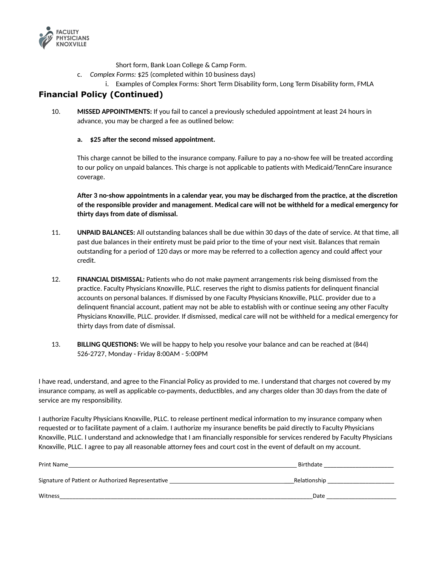

Short form, Bank Loan College & Camp Form.

- c. *Complex Forms:* \$25 (completed within 10 business days)
	- i. Examples of Complex Forms: Short Term Disability form, Long Term Disability form, FMLA

## **Financial Policy (Continued)**

- 10. **MISSED APPOINTMENTS:** If you fail to cancel a previously scheduled appointment at least 24 hours in advance, you may be charged a fee as outlined below:
	- **a. \$25 after the second missed appointment.**

This charge cannot be billed to the insurance company. Failure to pay a no-show fee will be treated according to our policy on unpaid balances. This charge is not applicable to patients with Medicaid/TennCare insurance coverage.

**After 3 no-show appointments in a calendar year, you may be discharged from the practice, at the discretion of the responsible provider and management. Medical care will not be withheld for a medical emergency for thirty days from date of dismissal.**

- 11. **UNPAID BALANCES:** All outstanding balances shall be due within 30 days of the date of service. At that time, all past due balances in their entirety must be paid prior to the time of your next visit. Balances that remain outstanding for a period of 120 days or more may be referred to a collection agency and could affect your credit.
- 12. **FINANCIAL DISMISSAL:** Patients who do not make payment arrangements risk being dismissed from the practice. Faculty Physicians Knoxville, PLLC. reserves the right to dismiss patients for delinquent financial accounts on personal balances. If dismissed by one Faculty Physicians Knoxville, PLLC. provider due to a delinquent financial account, patient may not be able to establish with or continue seeing any other Faculty Physicians Knoxville, PLLC. provider. If dismissed, medical care will not be withheld for a medical emergency for thirty days from date of dismissal.
- 13. **BILLING QUESTIONS:** We will be happy to help you resolve your balance and can be reached at (844) 526-2727, Monday - Friday 8:00AM - 5:00PM

I have read, understand, and agree to the Financial Policy as provided to me. I understand that charges not covered by my insurance company, as well as applicable co-payments, deductibles, and any charges older than 30 days from the date of service are my responsibility.

I authorize Faculty Physicians Knoxville, PLLC. to release pertinent medical information to my insurance company when requested or to facilitate payment of a claim. I authorize my insurance benefits be paid directly to Faculty Physicians Knoxville, PLLC. I understand and acknowledge that I am financially responsible for services rendered by Faculty Physicians Knoxville, PLLC. I agree to pay all reasonable attorney fees and court cost in the event of default on my account.

| Print Name                                        | Birthdate    |  |
|---------------------------------------------------|--------------|--|
| Signature of Patient or Authorized Representative | Relationship |  |
| Witness                                           | Date         |  |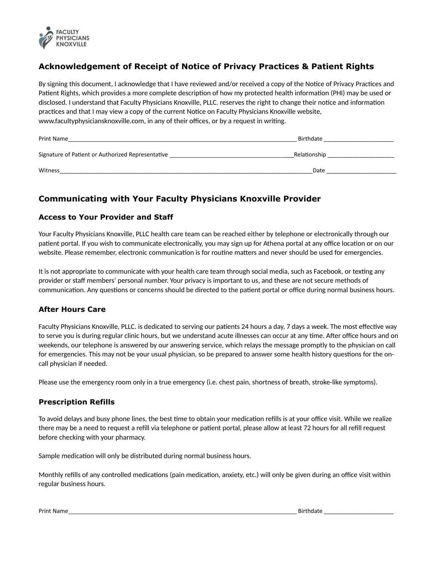

# **Acknowledgement of Receipt of Notice of Privacy Practices & Patient Rights**

By signing this document, I acknowledge that I have reviewed and/or received a copy of the Notice of Privacy Practices and Patient Rights, which provides a more complete description of how my protected health information (PHI) may be used or disclosed. I understand that Faculty Physicians Knoxville, PLLC. reserves the right to change their notice and information practices and that I may view a copy of the current Notice on Faculty Physicians Knoxville website, www.facultyphysiciansknoxville.com, in any of their offices, or by a request in writing.

| <b>Print Name</b>                                 | Birthdate    |
|---------------------------------------------------|--------------|
| Signature of Patient or Authorized Representative | Relationship |
| Witness                                           | Date         |

## **Communicating with Your Faculty Physicians Knoxville Provider**

### **Access to Your Provider and Staff**

Your Faculty Physicians Knoxville, PLLC health care team can be reached either by telephone or electronically through our patient portal. If you wish to communicate electronically, you may sign up for Athena portal at any office location or on our website. Please remember, electronic communication is for routine matters and never should be used for emergencies.

It is not appropriate to communicate with your health care team through social media, such as Facebook, or texting any provider or staff members' personal number. Your privacy is important to us, and these are not secure methods of communication. Any questions or concerns should be directed to the patient portal or office during normal business hours.

### **After Hours Care**

Faculty Physicians Knoxville, PLLC. is dedicated to serving our patients 24 hours a day, 7 days a week. The most effective way to serve you is during regular clinic hours, but we understand acute illnesses can occur at any time. After office hours and on weekends, our telephone is answered by our answering service, which relays the message promptly to the physician on call for emergencies. This may not be your usual physician, so be prepared to answer some health history questions for the oncall physician if needed.

Please use the emergency room only in a true emergency (i.e. chest pain, shortness of breath, stroke-like symptoms).

#### **Prescription Refills**

To avoid delays and busy phone lines, the best time to obtain your medication refills is at your office visit. While we realize there may be a need to request a refill via telephone or patient portal, please allow at least 72 hours for all refill request before checking with your pharmacy.

Sample medication will only be distributed during normal business hours.

Monthly refills of any controlled medications (pain medication, anxiety, etc.) will only be given during an office visit within regular business hours.

Print Name Birthdate \_\_\_\_\_\_\_\_\_\_\_\_\_\_\_\_\_\_\_\_\_\_